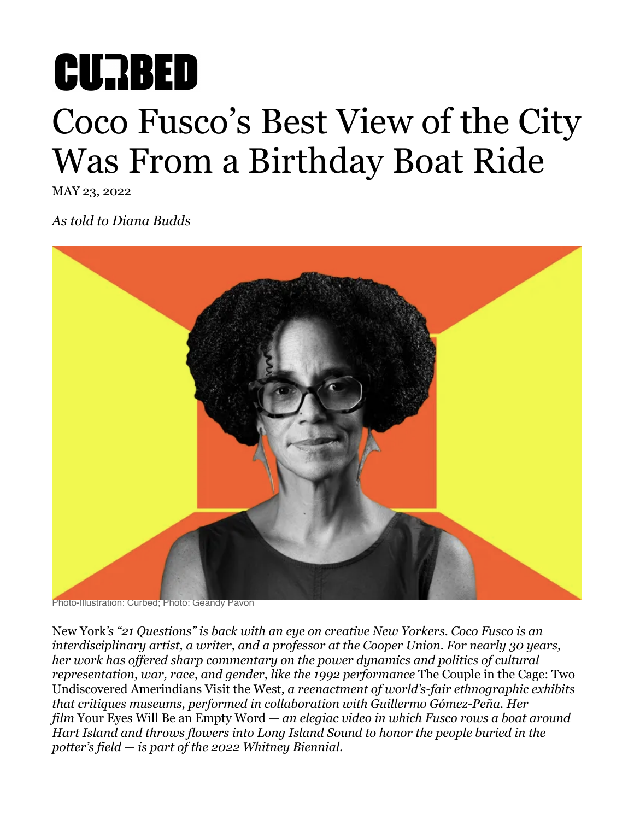# **CURBED** Coco Fusco's Best View of the City Was From a Birthday Boat Ride

MAY 23, 2022

*As told to Diana Budds*



Photo-Illustration: Curbed; Photo: Geandy Pavón

New York*'s "21 Questions" is back with an eye on creative New Yorkers. Coco Fusco is an interdisciplinary artist, a writer, and a professor at the Cooper Union. For nearly 30 years, her work has offered sharp commentary on the power dynamics and politics of cultural representation, war, race, and gender, like the 1992 performance* [The Couple in the Cage: Two](https://www.cocofusco.com/two-undiscovered-amerindians)  [Undiscovered Amerindians Visit the West](https://www.cocofusco.com/two-undiscovered-amerindians)*, a reenactment of world's-fair ethnographic exhibits that critiques museums, performed in collaboration with Guillermo Gómez-Peña. Her film* Your Eyes Will Be an Empty Word *— an elegiac video in which Fusco rows a boat around Hart Island and throws flowers into Long Island Sound to honor the people buried in the potter's field — is part of the 2022 Whitney Biennial.*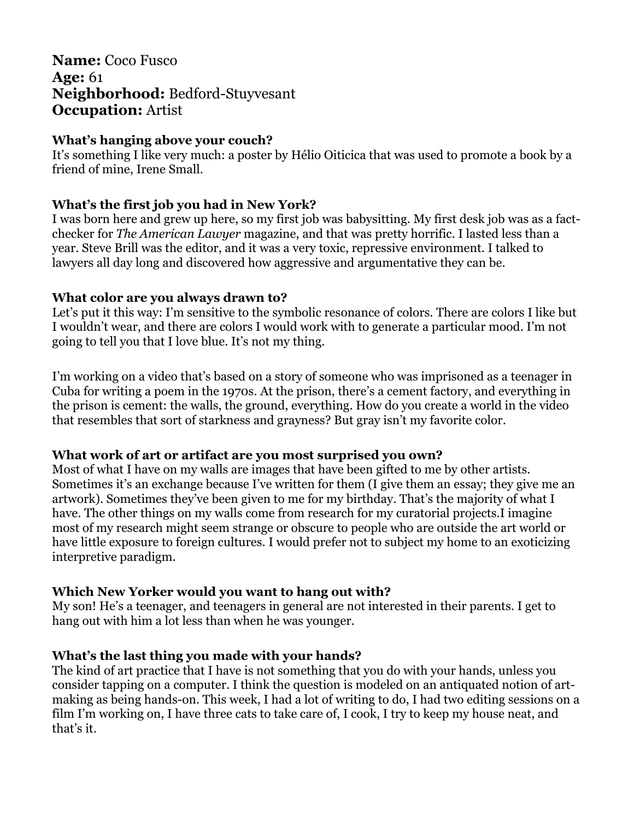## **Name:** Coco Fusco **Age:** 61 **Neighborhood:** Bedford-Stuyvesant **Occupation:** Artist

#### **What's hanging above your couch?**

It's something I like very much: a poster by Hélio Oiticica that was used to promote a book by a friend of mine, Irene Small.

## **What's the first job you had in New York?**

I was born here and grew up here, so my first job was babysitting. My first desk job was as a factchecker for *The American Lawyer* magazine, and that was pretty horrific. I lasted less than a year. Steve Brill was the editor, and it was a very toxic, repressive environment. I talked to lawyers all day long and discovered how aggressive and argumentative they can be.

#### **What color are you always drawn to?**

Let's put it this way: I'm sensitive to the symbolic resonance of colors. There are colors I like but I wouldn't wear, and there are colors I would work with to generate a particular mood. I'm not going to tell you that I love blue. It's not my thing.

I'm working on a video that's based on a story of someone who was imprisoned as a teenager in Cuba for writing a poem in the 1970s. At the prison, there's a cement factory, and everything in the prison is cement: the walls, the ground, everything. How do you create a world in the video that resembles that sort of starkness and grayness? But gray isn't my favorite color.

#### **What work of art or artifact are you most surprised you own?**

Most of what I have on my walls are images that have been gifted to me by other artists. Sometimes it's an exchange because I've written for them (I give them an essay; they give me an artwork). Sometimes they've been given to me for my birthday. That's the majority of what I have. The other things on my walls come from research for my curatorial projects.I imagine most of my research might seem strange or obscure to people who are outside the art world or have little exposure to foreign cultures. I would prefer not to subject my home to an exoticizing interpretive paradigm.

#### **Which New Yorker would you want to hang out with?**

My son! He's a teenager, and teenagers in general are not interested in their parents. I get to hang out with him a lot less than when he was younger.

## **What's the last thing you made with your hands?**

The kind of art practice that I have is not something that you do with your hands, unless you consider tapping on a computer. I think the question is modeled on an antiquated notion of artmaking as being hands-on. This week, I had a lot of writing to do, I had two editing sessions on a film I'm working on, I have three cats to take care of, I cook, I try to keep my house neat, and that's it.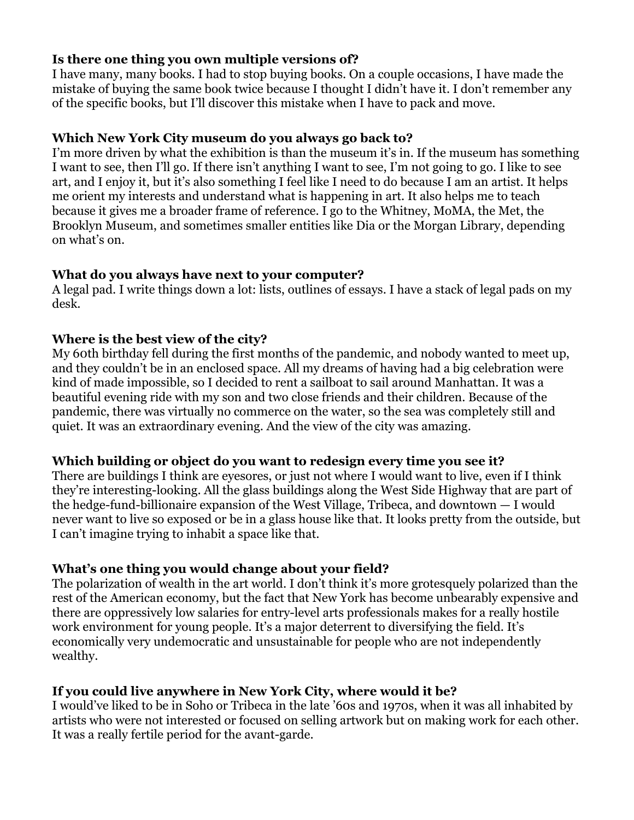#### **Is there one thing you own multiple versions of?**

I have many, many books. I had to stop buying books. On a couple occasions, I have made the mistake of buying the same book twice because I thought I didn't have it. I don't remember any of the specific books, but I'll discover this mistake when I have to pack and move.

#### **Which New York City museum do you always go back to?**

I'm more driven by what the exhibition is than the museum it's in. If the museum has something I want to see, then I'll go. If there isn't anything I want to see, I'm not going to go. I like to see art, and I enjoy it, but it's also something I feel like I need to do because I am an artist. It helps me orient my interests and understand what is happening in art. It also helps me to teach because it gives me a broader frame of reference. I go to the Whitney, MoMA, the Met, the Brooklyn Museum, and sometimes smaller entities like Dia or the Morgan Library, depending on what's on.

## **What do you always have next to your computer?**

A legal pad. I write things down a lot: lists, outlines of essays. I have a stack of legal pads on my desk.

## **Where is the best view of the city?**

My 60th birthday fell during the first months of the pandemic, and nobody wanted to meet up, and they couldn't be in an enclosed space. All my dreams of having had a big celebration were kind of made impossible, so I decided to rent a sailboat to sail around Manhattan. It was a beautiful evening ride with my son and two close friends and their children. Because of the pandemic, there was virtually no commerce on the water, so the sea was completely still and quiet. It was an extraordinary evening. And the view of the city was amazing.

#### **Which building or object do you want to redesign every time you see it?**

There are buildings I think are eyesores, or just not where I would want to live, even if I think they're interesting-looking. All the glass buildings along the West Side Highway that are part of the hedge-fund-billionaire expansion of the West Village, Tribeca, and downtown — I would never want to live so exposed or be in a glass house like that. It looks pretty from the outside, but I can't imagine trying to inhabit a space like that.

## **What's one thing you would change about your field?**

The polarization of wealth in the art world. I don't think it's more grotesquely polarized than the rest of the American economy, but the fact that New York has become unbearably expensive and there are oppressively low salaries for entry-level arts professionals makes for a really hostile work environment for young people. It's a major deterrent to diversifying the field. It's economically very undemocratic and unsustainable for people who are not independently wealthy.

## **If you could live anywhere in New York City, where would it be?**

I would've liked to be in Soho or Tribeca in the late '60s and 1970s, when it was all inhabited by artists who were not interested or focused on selling artwork but on making work for each other. It was a really fertile period for the avant-garde.